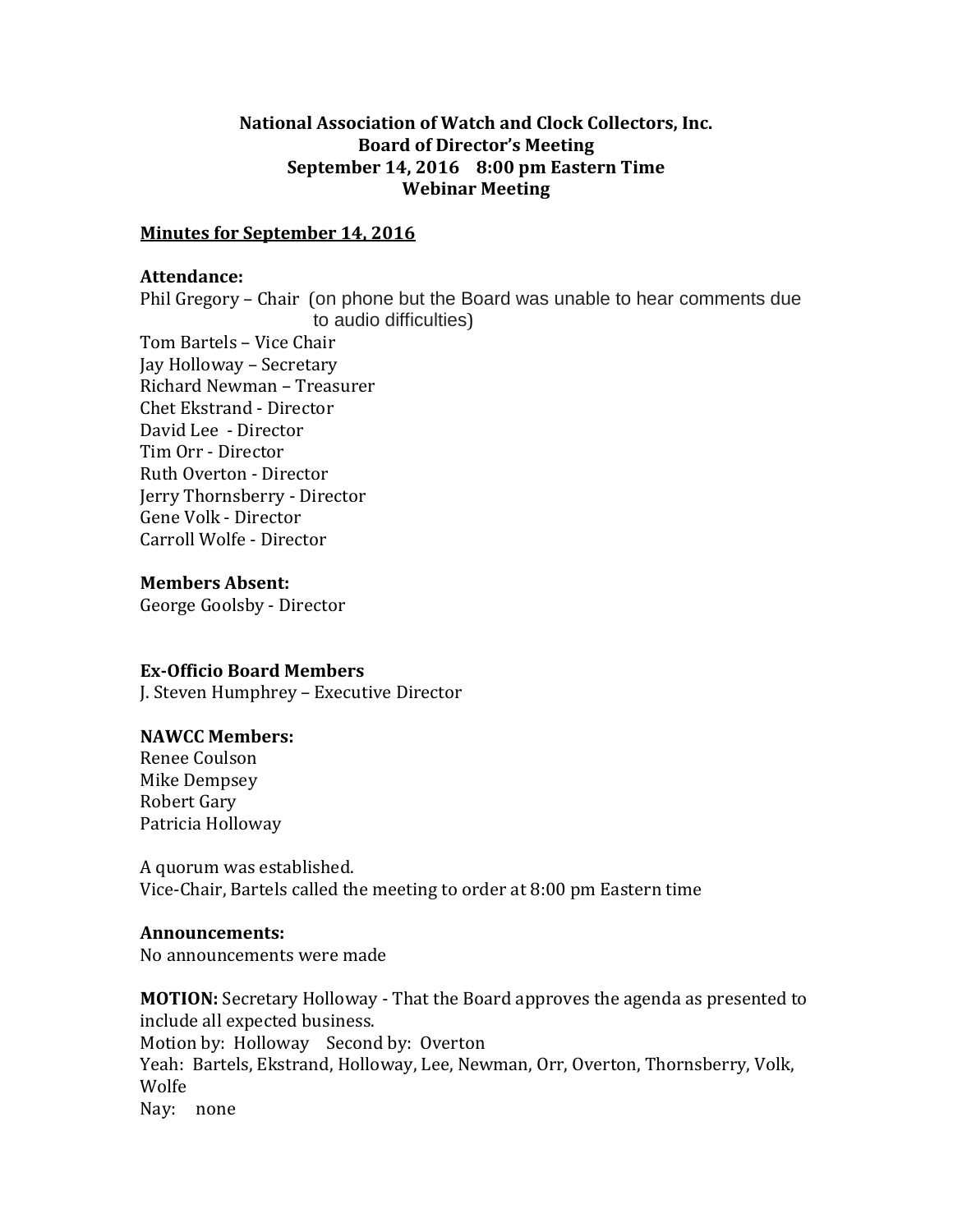# **National Association of Watch and Clock Collectors, Inc. Board of Director's Meeting September 14, 2016 8:00 pm Eastern Time Webinar Meeting**

## **Minutes for September 14, 2016**

### **Attendance:**

Phil Gregory – Chair (on phone but the Board was unable to hear comments due to audio difficulties)

Tom Bartels – Vice Chair Jay Holloway – Secretary Richard Newman – Treasurer Chet Ekstrand - Director David Lee - Director Tim Orr - Director Ruth Overton - Director Jerry Thornsberry - Director Gene Volk - Director Carroll Wolfe - Director

### **Members Absent:**

George Goolsby - Director

### **Ex-Officio Board Members**

J. Steven Humphrey – Executive Director

## **NAWCC Members:**

Renee Coulson Mike Dempsey Robert Gary Patricia Holloway

A quorum was established. Vice-Chair, Bartels called the meeting to order at 8:00 pm Eastern time

### **Announcements:**

No announcements were made

**MOTION:** Secretary Holloway - That the Board approves the agenda as presented to include all expected business. Motion by: Holloway Second by: Overton Yeah: Bartels, Ekstrand, Holloway, Lee, Newman, Orr, Overton, Thornsberry, Volk, Wolfe Nay: none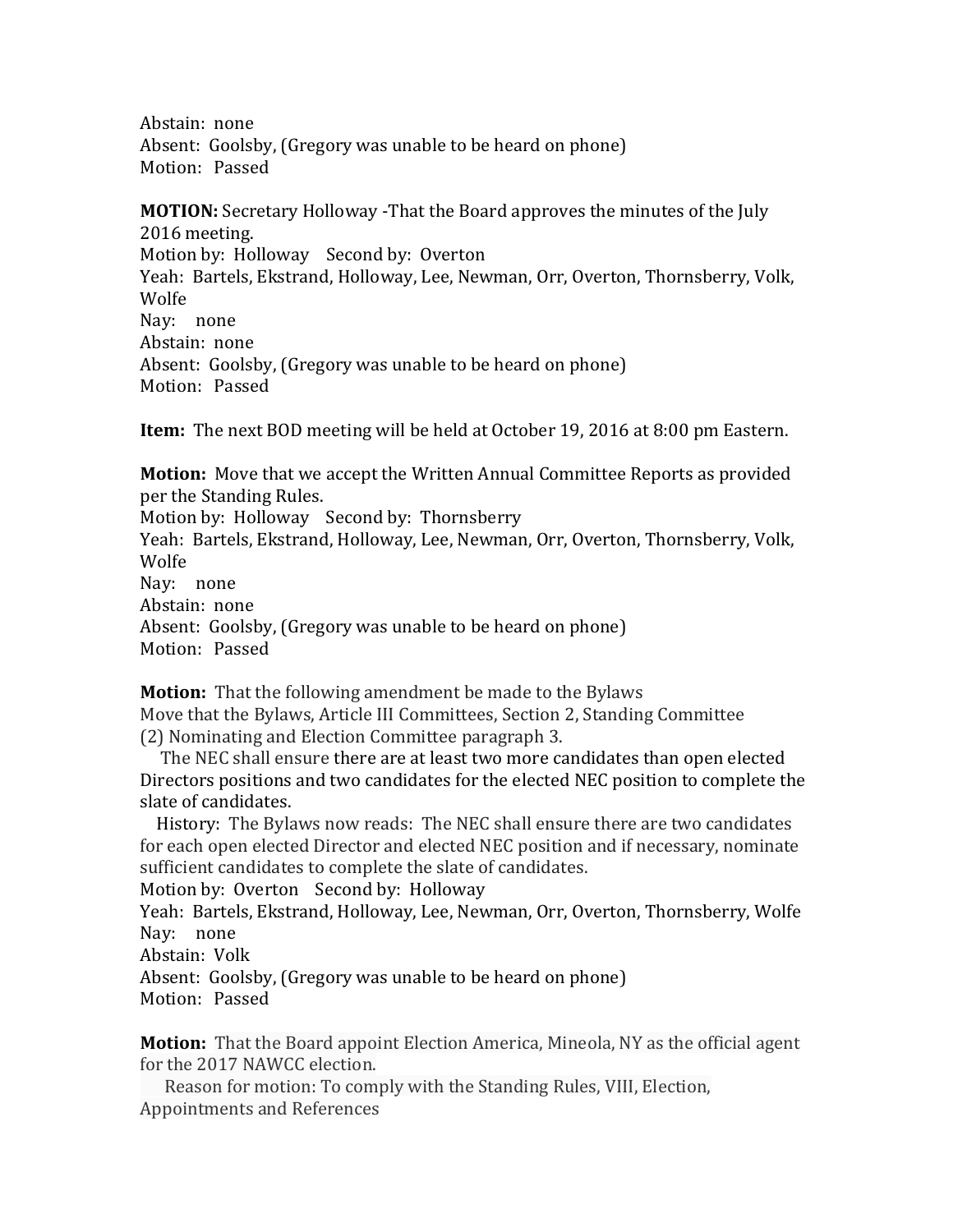Abstain: none Absent: Goolsby, (Gregory was unable to be heard on phone) Motion: Passed

**MOTION:** Secretary Holloway -That the Board approves the minutes of the July 2016 meeting. Motion by: Holloway Second by: Overton Yeah: Bartels, Ekstrand, Holloway, Lee, Newman, Orr, Overton, Thornsberry, Volk, Wolfe Nay: none Abstain: none Absent: Goolsby, (Gregory was unable to be heard on phone) Motion: Passed

**Item:** The next BOD meeting will be held at October 19, 2016 at 8:00 pm Eastern.

**Motion:** Move that we accept the Written Annual Committee Reports as provided per the Standing Rules.

Motion by: Holloway Second by: Thornsberry Yeah: Bartels, Ekstrand, Holloway, Lee, Newman, Orr, Overton, Thornsberry, Volk, Wolfe Nay: none Abstain: none

Absent: Goolsby, (Gregory was unable to be heard on phone) Motion: Passed

**Motion:** That the following amendment be made to the Bylaws Move that the Bylaws, Article III Committees, Section 2, Standing Committee (2) Nominating and Election Committee paragraph 3.

 The NEC shall ensure there are at least two more candidates than open elected Directors positions and two candidates for the elected NEC position to complete the slate of candidates.

 History: The Bylaws now reads: The NEC shall ensure there are two candidates for each open elected Director and elected NEC position and if necessary, nominate sufficient candidates to complete the slate of candidates.

Motion by: Overton Second by: Holloway

Yeah: Bartels, Ekstrand, Holloway, Lee, Newman, Orr, Overton, Thornsberry, Wolfe Nay: none

Abstain: Volk

Absent: Goolsby, (Gregory was unable to be heard on phone) Motion: Passed

**Motion:** That the Board appoint Election America, Mineola, NY as the official agent for the 2017 NAWCC election.

 Reason for motion: To comply with the Standing Rules, VIII, Election, Appointments and References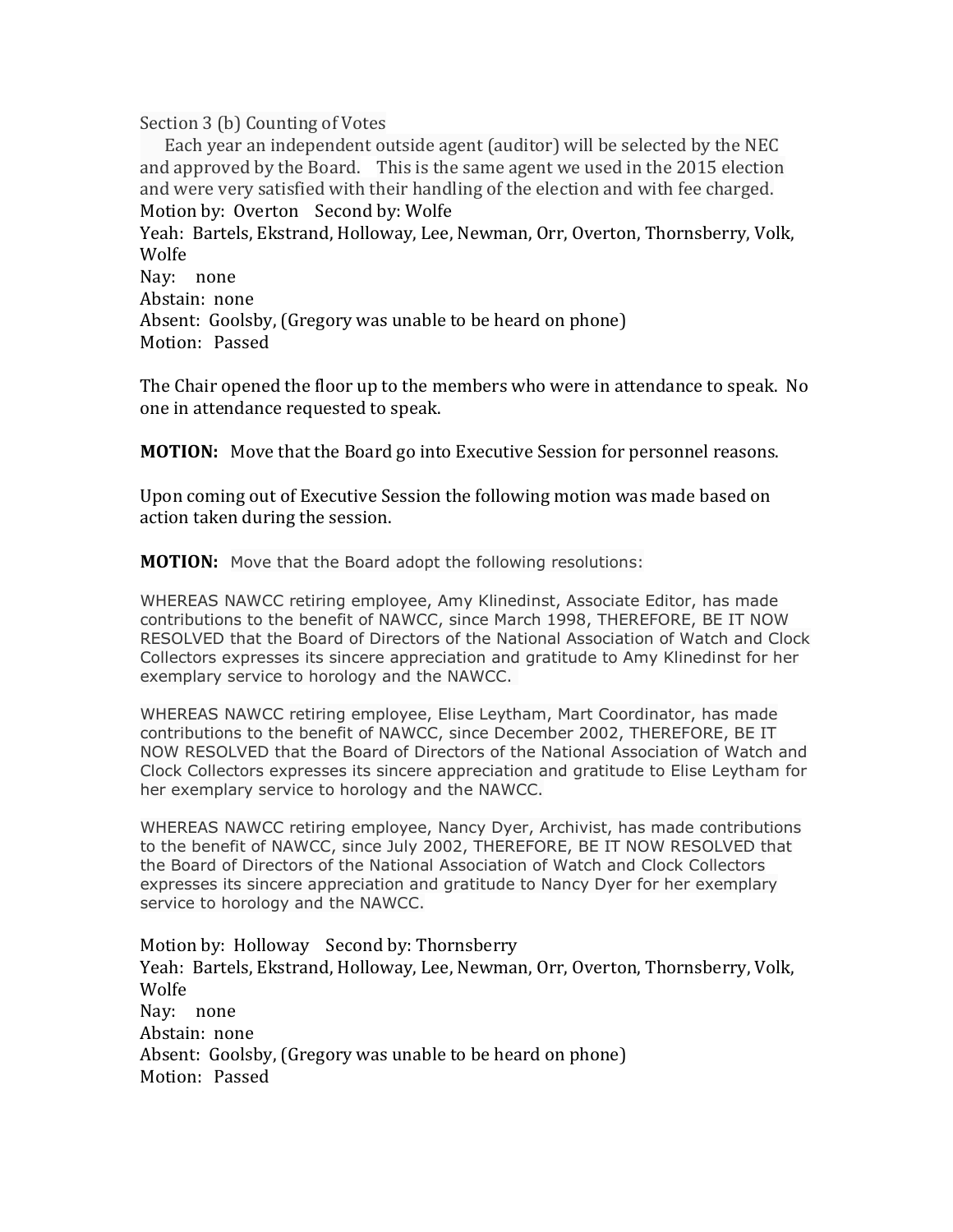Section 3 (b) Counting of Votes

 Each year an independent outside agent (auditor) will be selected by the NEC and approved by the Board. This is the same agent we used in the 2015 election and were very satisfied with their handling of the election and with fee charged. Motion by: Overton Second by: Wolfe

Yeah: Bartels, Ekstrand, Holloway, Lee, Newman, Orr, Overton, Thornsberry, Volk, Wolfe

Nay: none Abstain: none Absent: Goolsby, (Gregory was unable to be heard on phone) Motion: Passed

The Chair opened the floor up to the members who were in attendance to speak. No one in attendance requested to speak.

**MOTION:** Move that the Board go into Executive Session for personnel reasons.

Upon coming out of Executive Session the following motion was made based on action taken during the session.

**MOTION:** Move that the Board adopt the following resolutions:

WHEREAS NAWCC retiring employee, Amy Klinedinst, Associate Editor, has made contributions to the benefit of NAWCC, since March 1998, THEREFORE, BE IT NOW RESOLVED that the Board of Directors of the National Association of Watch and Clock Collectors expresses its sincere appreciation and gratitude to Amy Klinedinst for her exemplary service to horology and the NAWCC.

WHEREAS NAWCC retiring employee, Elise Leytham, Mart Coordinator, has made contributions to the benefit of NAWCC, since December 2002, THEREFORE, BE IT NOW RESOLVED that the Board of Directors of the National Association of Watch and Clock Collectors expresses its sincere appreciation and gratitude to Elise Leytham for her exemplary service to horology and the NAWCC.

WHEREAS NAWCC retiring employee, Nancy Dyer, Archivist, has made contributions to the benefit of NAWCC, since July 2002, THEREFORE, BE IT NOW RESOLVED that the Board of Directors of the National Association of Watch and Clock Collectors expresses its sincere appreciation and gratitude to Nancy Dyer for her exemplary service to horology and the NAWCC.

Motion by: Holloway Second by: Thornsberry Yeah: Bartels, Ekstrand, Holloway, Lee, Newman, Orr, Overton, Thornsberry, Volk, Wolfe Nay: none Abstain: none Absent: Goolsby, (Gregory was unable to be heard on phone) Motion: Passed